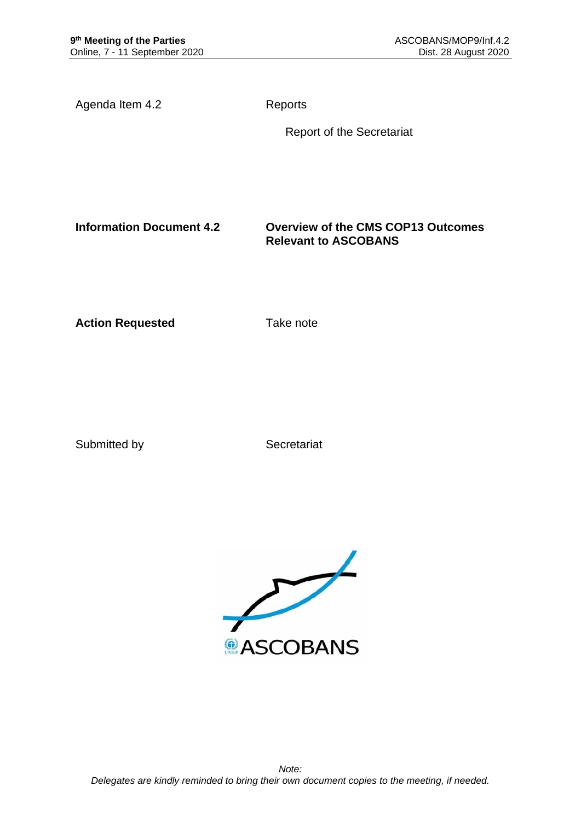Agenda Item 4.2 Reports

Report of the Secretariat

**Information Document 4.2 Overview of the CMS COP13 Outcomes Relevant to ASCOBANS**

**Action Requested Take note** 

Submitted by Secretariat

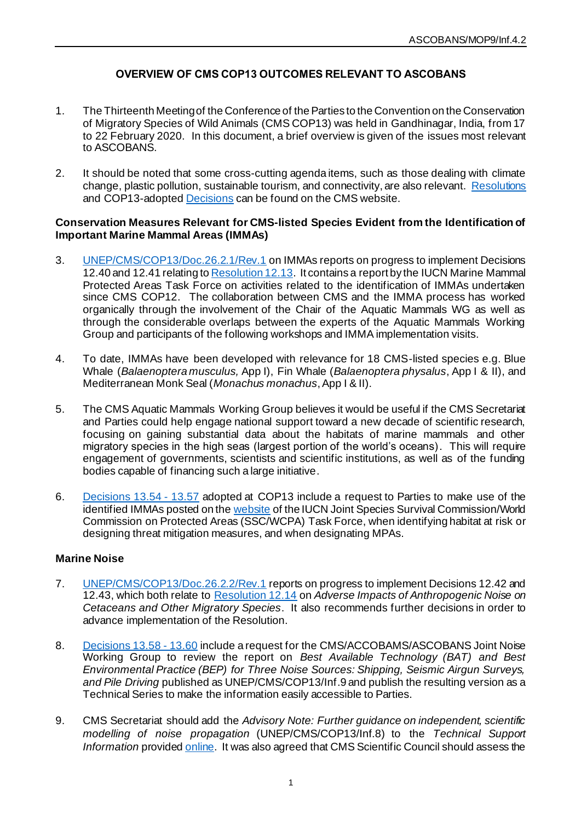# **OVERVIEW OF CMS COP13 OUTCOMES RELEVANT TO ASCOBANS**

- 1. The Thirteenth Meeting of the Conference of the Parties to the Convention on the Conservation of Migratory Species of Wild Animals (CMS COP13) was held in Gandhinagar, India, from 17 to 22 February 2020. In this document, a brief overview is given of the issues most relevant to ASCOBANS.
- 2. It should be noted that some cross-cutting agenda items, such as those dealing with climate change, plastic pollution, sustainable tourism, and connectivity, are also relevant. [Resolutions](https://www.cms.int/en/documents/cop-resolutions) and COP13-adopted [Decisions](https://www.cms.int/en/documents/decisions/cop13) can be found on the CMS website.

#### **Conservation Measures Relevant for CMS-listed Species Evident from the Identification of Important Marine Mammal Areas (IMMAs)**

- 3. [UNEP/CMS/COP13/Doc.26.2.1/Rev.1](https://www.cms.int/en/document/conservation-measures-relevant-cms-listed-species-evident-identification-important-marine) on IMMAs reports on progress to implement Decisions 12.40 and 12.41 relating t[o Resolution 12.13.](https://www.cms.int/en/document/important-marine-mammal-areas-immas-1) It contains a report by the IUCN Marine Mammal Protected Areas Task Force on activities related to the identification of IMMAs undertaken since CMS COP12. The collaboration between CMS and the IMMA process has worked organically through the involvement of the Chair of the Aquatic Mammals WG as well as through the considerable overlaps between the experts of the Aquatic Mammals Working Group and participants of the following workshops and IMMA implementation visits.
- 4. To date, IMMAs have been developed with relevance for 18 CMS-listed species e.g. Blue Whale (*Balaenoptera musculus,* App I), Fin Whale (*Balaenoptera physalus*, App I & II), and Mediterranean Monk Seal (*Monachus monachus*, App I & II).
- 5. The CMS Aquatic Mammals Working Group believes it would be useful if the CMS Secretariat and Parties could help engage national support toward a new decade of scientific research, focusing on gaining substantial data about the habitats of marine mammals and other migratory species in the high seas (largest portion of the world's oceans). This will require engagement of governments, scientists and scientific institutions, as well as of the funding bodies capable of financing such a large initiative.
- 6. [Decisions 13.54 -](https://www.cms.int/en/page/decisions-1354-1357-important-marine-mammal-areas-immas) 13.57 adopted at COP13 include a request to Parties to make use of the identified IMMAs posted on th[e website](http://www.marinemammalhabitat.org/) of the IUCN Joint Species Survival Commission/World Commission on Protected Areas (SSC/WCPA) Task Force, when identifying habitat at risk or designing threat mitigation measures, and when designating MPAs.

### **Marine Noise**

- 7. [UNEP/CMS/COP13/Doc.26.2.2/Rev.1](https://www.cms.int/en/document/marine-noise-0) reports on progress to implement Decisions 12.42 and 12.43, which both relate to [Resolution 12.14](https://www.cms.int/en/document/adverse-impacts-anthropogenic-noise-cetaceans-and-other-migratory-species-0) on *Adverse Impacts of Anthropogenic Noise on Cetaceans and Other Migratory Species*. It also recommends further decisions in order to advance implementation of the Resolution.
- 8. [Decisions 13.58 -](https://www.cms.int/en/page/decisions-1358-1360-adverse-impacts-anthropogenic-noise-cetaceans-and-other-migratory-species) 13.60 include a request for the CMS/ACCOBAMS/ASCOBANS Joint Noise Working Group to review the report on *Best Available Technology (BAT) and Best Environmental Practice (BEP) for Three Noise Sources: Shipping, Seismic Airgun Surveys, and Pile Driving* published as UNEP/CMS/COP13/Inf.9 and publish the resulting version as a Technical Series to make the information easily accessible to Parties.
- 9. CMS Secretariat should add the *Advisory Note: Further guidance on independent, scientific modelling of noise propagation* (UNEP/CMS/COP13/Inf.8) to the *Technical Support Information* provide[d online](https://www.cms.int/en/guidelines/cms-family-guidelines-EIAs-marine-noise). It was also agreed that CMS Scientific Council should assess the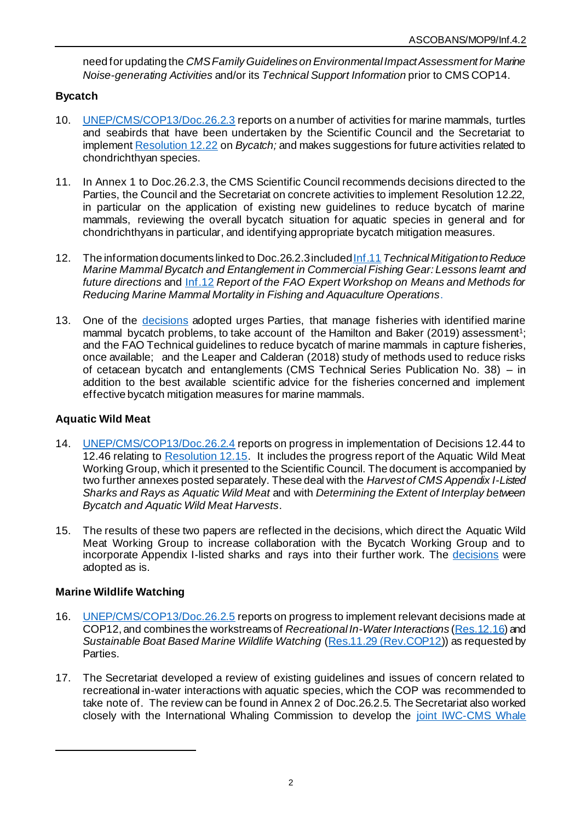need for updating the *CMS Family Guidelines on Environmental Impact Assessment for Marine Noise-generating Activities* and/or its *Technical Support Information* prior to CMS COP14.

# **Bycatch**

- 10. [UNEP/CMS/COP13/Doc.26.2.3](https://www.cms.int/en/document/bycatch-1) reports on a number of activities for marine mammals, turtles and seabirds that have been undertaken by the Scientific Council and the Secretariat to implemen[t Resolution 12.22](https://www.cms.int/en/document/bycatch-0) on *Bycatch;* and makes suggestions for future activities related to chondrichthyan species.
- 11. In Annex 1 to Doc.26.2.3, the CMS Scientific Council recommends decisions directed to the Parties, the Council and the Secretariat on concrete activities to implement Resolution 12.22, in particular on the application of existing new guidelines to reduce bycatch of marine mammals, reviewing the overall bycatch situation for aquatic species in general and for chondrichthyans in particular, and identifying appropriate bycatch mitigation measures.
- 12. The information documents linked to Doc.26.2.3include[d Inf.11](https://www.cms.int/en/document/technical-mitigation-reduce-marine-mammal-bycatch-and-entanglement-commercial-fishing-gear) *Technical Mitigation to Reduce Marine Mammal Bycatch and Entanglement in Commercial Fishing Gear: Lessons learnt and future directions* and [Inf.12](https://www.cms.int/en/document/report-fao-expert-workshop-means-and-methods-reducing-marine-mammal-mortality-fishing-and) *Report of the FAO Expert Workshop on Means and Methods for Reducing Marine Mammal Mortality in Fishing and Aquaculture Operations*.
- 13. One of the [decisions](https://www.cms.int/en/page/decisions-1361-1363-bycatch) adopted urges Parties, that manage fisheries with identified marine mammal bycatch problems, to take account of the Hamilton and Baker (2019) assessment<sup>1</sup>; and the FAO Technical guidelines to reduce bycatch of marine mammals in capture fisheries, once available; and the Leaper and Calderan (2018) study of methods used to reduce risks of cetacean bycatch and entanglements (CMS Technical Series Publication No. 38) – in addition to the best available scientific advice for the fisheries concerned and implement effective bycatch mitigation measures for marine mammals.

## **Aquatic Wild Meat**

- 14. [UNEP/CMS/COP13/Doc.26.2.4](https://www.cms.int/en/document/aquatic-wild-meat-3) reports on progress in implementation of Decisions 12.44 to 12.46 relating to [Resolution 12.15.](https://www.cms.int/en/document/aquatic-wild-meat-1) It includes the progress report of the Aquatic Wild Meat Working Group, which it presented to the Scientific Council. The document is accompanied by two further annexes posted separately. These deal with the *Harvest of CMS Appendix I-Listed Sharks and Rays as Aquatic Wild Meat* and with *Determining the Extent of Interplay between Bycatch and Aquatic Wild Meat Harvests*.
- 15. The results of these two papers are reflected in the decisions, which direct the Aquatic Wild Meat Working Group to increase collaboration with the Bycatch Working Group and to incorporate Appendix I-listed sharks and rays into their further work. The [decisions](https://www.cms.int/en/page/decisions-1364-1365-aquatic-wild-meat) were adopted as is.

## **Marine Wildlife Watching**

- 16. [UNEP/CMS/COP13/Doc.26.2.5](https://www.cms.int/en/document/marine-wildlife-watching) reports on progress to implement relevant decisions made at COP12, and combines the workstreams of *Recreational In-Water Interactions* [\(Res.12.16](https://www.cms.int/en/document/recreational-water-interaction-aquatic-mammals-1)) and *Sustainable Boat Based Marine Wildlife Watching* [\(Res.11.29 \(Rev.COP12](https://www.cms.int/en/document/sustainable-boat-based-marine-wildlife-watching-2))) as requested by Parties.
- 17. The Secretariat developed a review of existing guidelines and issues of concern related to recreational in-water interactions with aquatic species, which the COP was recommended to take note of. The review can be found in Annex 2 of Doc.26.2.5. The Secretariat also worked closely with the International Whaling Commission to develop the [joint IWC-CMS Whale](https://wwhandbook.iwc.int/en/)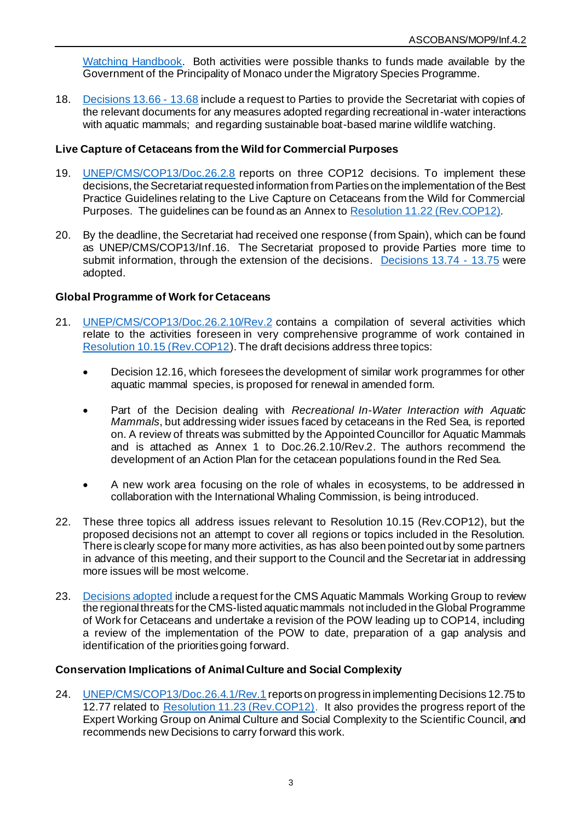[Watching Handbook.](https://wwhandbook.iwc.int/en/) Both activities were possible thanks to funds made available by the Government of the Principality of Monaco under the Migratory Species Programme.

18. [Decisions](https://www.cms.int/en/page/decisions-1366-1368-marine-wildlife-watching) 13.66 - 13.68 include a request to Parties to provide the Secretariat with copies of the relevant documents for any measures adopted regarding recreational in-water interactions with aquatic mammals; and regarding sustainable boat-based marine wildlife watching.

### **Live Capture of Cetaceans from the Wild for Commercial Purposes**

- 19. [UNEP/CMS/COP13/Doc.26.2.8](https://www.cms.int/en/document/live-capture-cetaceans-wild-commercial-purposes-1) reports on three COP12 decisions. To implement these decisions, the Secretariat requested information from Parties on the implementation of the Best Practice Guidelines relating to the Live Capture on Cetaceans from the Wild for Commercial Purposes. The guidelines can be found as an Annex to [Resolution 11.22 \(Rev.COP12\)](https://www.cms.int/en/document/live-capture-cetaceans-wild-commercial-purposes-0).
- 20. By the deadline, the Secretariat had received one response (from Spain), which can be found as UNEP/CMS/COP13/Inf.16. The Secretariat proposed to provide Parties more time to submit information, through the extension of the decisions. [Decisions](https://www.cms.int/en/page/decisions-1374-1375-live-capture-cetaceans-wild-commercial-purposes) 13.74 - 13.75 were adopted.

### **Global Programme of Work for Cetaceans**

- 21. [UNEP/CMS/COP13/Doc.26.2.10/Rev.2](https://www.cms.int/en/document/global-programme-work-cetaceans-1) contains a compilation of several activities which relate to the activities foreseen in very comprehensive programme of work contained in [Resolution 10.15 \(Rev.COP12](https://www.cms.int/en/document/global-programme-work-cetaceans-0)). The draft decisions address three topics:
	- Decision 12.16, which foresees the development of similar work programmes for other aquatic mammal species, is proposed for renewal in amended form.
	- Part of the Decision dealing with *Recreational In-Water Interaction with Aquatic Mammals*, but addressing wider issues faced by cetaceans in the Red Sea, is reported on. A review of threats was submitted by the Appointed Councillor for Aquatic Mammals and is attached as Annex 1 to Doc.26.2.10/Rev.2. The authors recommend the development of an Action Plan for the cetacean populations found in the Red Sea.
	- A new work area focusing on the role of whales in ecosystems, to be addressed in collaboration with the International Whaling Commission, is being introduced.
- 22. These three topics all address issues relevant to Resolution 10.15 (Rev.COP12), but the proposed decisions not an attempt to cover all regions or topics included in the Resolution. There is clearly scope for many more activities, as has also been pointed out by some partners in advance of this meeting, and their support to the Council and the Secretariat in addressing more issues will be most welcome.
- 23. [Decisions adopted](https://www.cms.int/en/page/decisions-1380-1383-global-programme-work-cetaceans) include a request for the CMS Aquatic Mammals Working Group to review the regional threats for the CMS-listed aquatic mammals not included in the Global Programme of Work for Cetaceans and undertake a revision of the POW leading up to COP14, including a review of the implementation of the POW to date, preparation of a gap analysis and identification of the priorities going forward.

### **Conservation Implications of Animal Culture and Social Complexity**

24. [UNEP/CMS/COP13/Doc.26.4.1/Rev.1](https://www.cms.int/en/document/conservation-implications-animal-culture-and-social-complexity-1) reports on progress in implementing Decisions 12.75 to 12.77 related to [Resolution 11.23 \(Rev.COP12\).](https://www.cms.int/en/document/conservation-implications-animal-culture-and-social-complexity-0) It also provides the progress report of the Expert Working Group on Animal Culture and Social Complexity to the Scientific Council, and recommends new Decisions to carry forward this work.